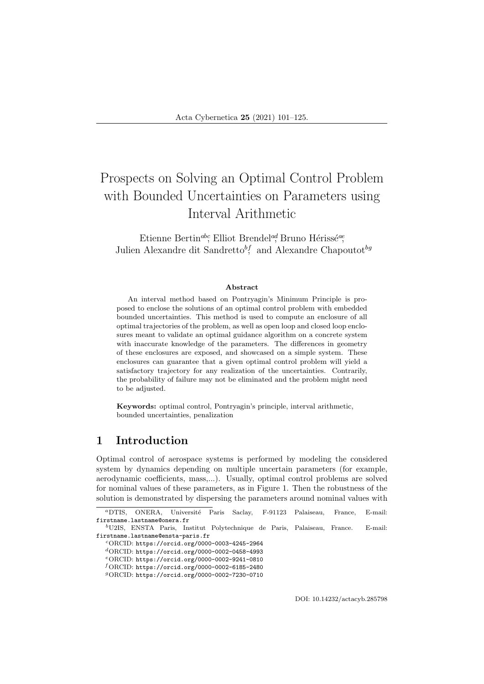# Prospects on Solving an Optimal Control Problem with Bounded Uncertainties on Parameters using Interval Arithmetic

Etienne Bertin<sup>abc</sup>, Elliot Brendel<sup>ad</sup>, Bruno Hérissé<sup>ae</sup>, Julien Alexandre dit Sandretto<sup>bf</sup>, and Alexandre Chapoutot<sup>hg</sup>

#### Abstract

An interval method based on Pontryagin's Minimum Principle is proposed to enclose the solutions of an optimal control problem with embedded bounded uncertainties. This method is used to compute an enclosure of all optimal trajectories of the problem, as well as open loop and closed loop enclosures meant to validate an optimal guidance algorithm on a concrete system with inaccurate knowledge of the parameters. The differences in geometry of these enclosures are exposed, and showcased on a simple system. These enclosures can guarantee that a given optimal control problem will yield a satisfactory trajectory for any realization of the uncertainties. Contrarily, the probability of failure may not be eliminated and the problem might need to be adjusted.

Keywords: optimal control, Pontryagin's principle, interval arithmetic, bounded uncertainties, penalization

# 1 Introduction

Optimal control of aerospace systems is performed by modeling the considered system by dynamics depending on multiple uncertain parameters (for example, aerodynamic coefficients, mass,...). Usually, optimal control problems are solved for nominal values of these parameters, as in Figure 1. Then the robustness of the solution is demonstrated by dispersing the parameters around nominal values with

DOI: 10.14232/actacyb.285798

<sup>a</sup>DTIS, ONERA, Universit´e Paris Saclay, F-91123 Palaiseau, France, E-mail: firstname.lastname@onera.fr

<sup>b</sup>U2IS, ENSTA Paris, Institut Polytechnique de Paris, Palaiseau, France. E-mail: firstname.lastname@ensta-paris.fr

<sup>c</sup>ORCID: https://orcid.org/0000-0003-4245-2964

<sup>d</sup>ORCID: https://orcid.org/0000-0002-0458-4993

<sup>e</sup>ORCID: https://orcid.org/0000-0002-9241-0810

 $^f\rm ORCID:$ https://orcid.org/0000-0002-6185-2480

<sup>g</sup>ORCID: https://orcid.org/0000-0002-7230-0710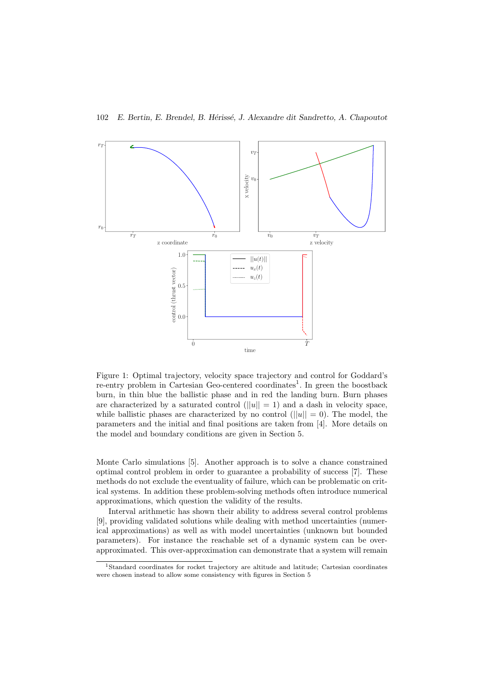

Figure 1: Optimal trajectory, velocity space trajectory and control for Goddard's re-entry problem in Cartesian Geo-centered coordinates<sup>1</sup>. In green the boostback burn, in thin blue the ballistic phase and in red the landing burn. Burn phases are characterized by a saturated control  $(||u|| = 1)$  and a dash in velocity space, while ballistic phases are characterized by no control  $(||u|| = 0)$ . The model, the parameters and the initial and final positions are taken from [4]. More details on the model and boundary conditions are given in Section 5.

Monte Carlo simulations [5]. Another approach is to solve a chance constrained optimal control problem in order to guarantee a probability of success [7]. These methods do not exclude the eventuality of failure, which can be problematic on critical systems. In addition these problem-solving methods often introduce numerical approximations, which question the validity of the results.

Interval arithmetic has shown their ability to address several control problems [9], providing validated solutions while dealing with method uncertainties (numerical approximations) as well as with model uncertainties (unknown but bounded parameters). For instance the reachable set of a dynamic system can be overapproximated. This over-approximation can demonstrate that a system will remain

<sup>1</sup>Standard coordinates for rocket trajectory are altitude and latitude; Cartesian coordinates were chosen instead to allow some consistency with figures in Section 5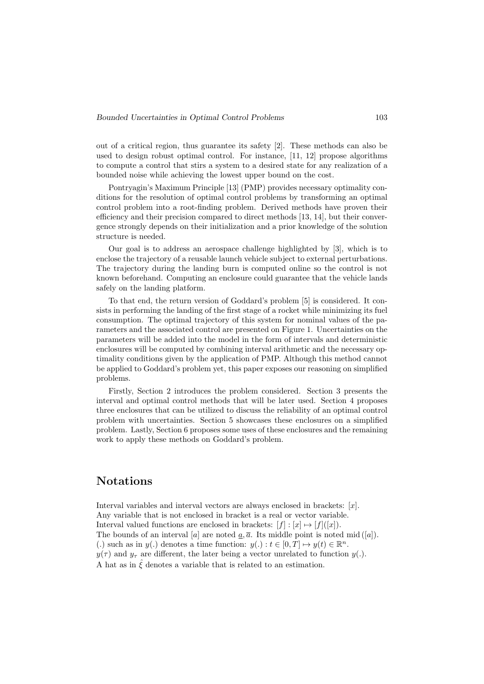out of a critical region, thus guarantee its safety [2]. These methods can also be used to design robust optimal control. For instance, [11, 12] propose algorithms to compute a control that stirs a system to a desired state for any realization of a bounded noise while achieving the lowest upper bound on the cost.

Pontryagin's Maximum Principle [13] (PMP) provides necessary optimality conditions for the resolution of optimal control problems by transforming an optimal control problem into a root-finding problem. Derived methods have proven their efficiency and their precision compared to direct methods [13, 14], but their convergence strongly depends on their initialization and a prior knowledge of the solution structure is needed.

Our goal is to address an aerospace challenge highlighted by [3], which is to enclose the trajectory of a reusable launch vehicle subject to external perturbations. The trajectory during the landing burn is computed online so the control is not known beforehand. Computing an enclosure could guarantee that the vehicle lands safely on the landing platform.

To that end, the return version of Goddard's problem [5] is considered. It consists in performing the landing of the first stage of a rocket while minimizing its fuel consumption. The optimal trajectory of this system for nominal values of the parameters and the associated control are presented on Figure 1. Uncertainties on the parameters will be added into the model in the form of intervals and deterministic enclosures will be computed by combining interval arithmetic and the necessary optimality conditions given by the application of PMP. Although this method cannot be applied to Goddard's problem yet, this paper exposes our reasoning on simplified problems.

Firstly, Section 2 introduces the problem considered. Section 3 presents the interval and optimal control methods that will be later used. Section 4 proposes three enclosures that can be utilized to discuss the reliability of an optimal control problem with uncertainties. Section 5 showcases these enclosures on a simplified problem. Lastly, Section 6 proposes some uses of these enclosures and the remaining work to apply these methods on Goddard's problem.

# Notations

Interval variables and interval vectors are always enclosed in brackets: [x]. Any variable that is not enclosed in bracket is a real or vector variable. Interval valued functions are enclosed in brackets:  $[f] : [x] \mapsto [f]([x])$ . The bounds of an interval [a] are noted  $\underline{a}, \overline{a}$ . Its middle point is noted mid ([a]). (.) such as in  $y(.)$  denotes a time function:  $y(.) : t \in [0, T] \mapsto y(t) \in \mathbb{R}^n$ .  $y(\tau)$  and  $y_{\tau}$  are different, the later being a vector unrelated to function  $y(.)$ . A hat as in  $\hat{\xi}$  denotes a variable that is related to an estimation.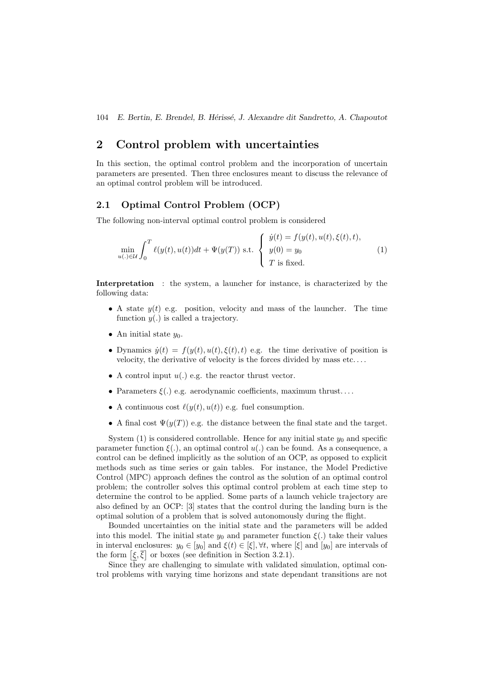# 2 Control problem with uncertainties

In this section, the optimal control problem and the incorporation of uncertain parameters are presented. Then three enclosures meant to discuss the relevance of an optimal control problem will be introduced.

# 2.1 Optimal Control Problem (OCP)

The following non-interval optimal control problem is considered

$$
\min_{u(.) \in \mathcal{U}} \int_0^T \ell(y(t), u(t)) dt + \Psi(y(T)) \text{ s.t. } \begin{cases} \dot{y}(t) = f(y(t), u(t), \xi(t), t), \\ y(0) = y_0 \\ T \text{ is fixed.} \end{cases}
$$
 (1)

Interpretation : the system, a launcher for instance, is characterized by the following data:

- A state  $y(t)$  e.g. position, velocity and mass of the launcher. The time function  $y(.)$  is called a trajectory.
- An initial state  $y_0$ .
- Dynamics  $\dot{y}(t) = f(y(t), u(t), \xi(t), t)$  e.g. the time derivative of position is velocity, the derivative of velocity is the forces divided by mass etc. . . .
- A control input  $u(.)$  e.g. the reactor thrust vector.
- Parameters  $\xi(.)$  e.g. aerodynamic coefficients, maximum thrust...
- A continuous cost  $\ell(y(t), u(t))$  e.g. fuel consumption.
- A final cost  $\Psi(y(T))$  e.g. the distance between the final state and the target.

System  $(1)$  is considered controllable. Hence for any initial state  $y_0$  and specific parameter function  $\xi(.)$ , an optimal control  $u(.)$  can be found. As a consequence, a control can be defined implicitly as the solution of an OCP, as opposed to explicit methods such as time series or gain tables. For instance, the Model Predictive Control (MPC) approach defines the control as the solution of an optimal control problem; the controller solves this optimal control problem at each time step to determine the control to be applied. Some parts of a launch vehicle trajectory are also defined by an OCP: [3] states that the control during the landing burn is the optimal solution of a problem that is solved autonomously during the flight.

Bounded uncertainties on the initial state and the parameters will be added into this model. The initial state  $y_0$  and parameter function  $\xi(.)$  take their values in interval enclosures:  $y_0 \in [y_0]$  and  $\xi(t) \in [\xi], \forall t$ , where  $[\xi]$  and  $[y_0]$  are intervals of the form  $\left[\xi,\overline{\xi}\right]$  or boxes (see definition in Section 3.2.1).

Since they are challenging to simulate with validated simulation, optimal control problems with varying time horizons and state dependant transitions are not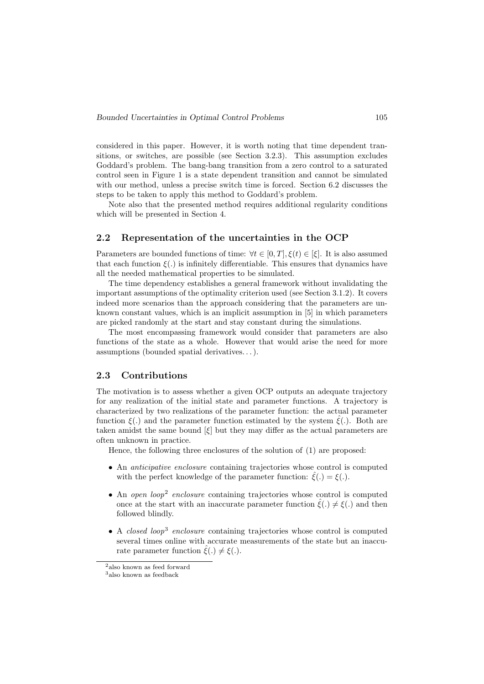considered in this paper. However, it is worth noting that time dependent transitions, or switches, are possible (see Section 3.2.3). This assumption excludes Goddard's problem. The bang-bang transition from a zero control to a saturated control seen in Figure 1 is a state dependent transition and cannot be simulated with our method, unless a precise switch time is forced. Section 6.2 discusses the steps to be taken to apply this method to Goddard's problem.

Note also that the presented method requires additional regularity conditions which will be presented in Section 4.

# 2.2 Representation of the uncertainties in the OCP

Parameters are bounded functions of time:  $\forall t \in [0, T], \xi(t) \in [\xi]$ . It is also assumed that each function  $\xi(.)$  is infinitely differentiable. This ensures that dynamics have all the needed mathematical properties to be simulated.

The time dependency establishes a general framework without invalidating the important assumptions of the optimality criterion used (see Section 3.1.2). It covers indeed more scenarios than the approach considering that the parameters are unknown constant values, which is an implicit assumption in [5] in which parameters are picked randomly at the start and stay constant during the simulations.

The most encompassing framework would consider that parameters are also functions of the state as a whole. However that would arise the need for more assumptions (bounded spatial derivatives. . . ).

### 2.3 Contributions

The motivation is to assess whether a given OCP outputs an adequate trajectory for any realization of the initial state and parameter functions. A trajectory is characterized by two realizations of the parameter function: the actual parameter function  $\xi(.)$  and the parameter function estimated by the system  $\xi(.)$ . Both are taken amidst the same bound  $[\xi]$  but they may differ as the actual parameters are often unknown in practice.

Hence, the following three enclosures of the solution of (1) are proposed:

- An anticipative enclosure containing trajectories whose control is computed with the perfect knowledge of the parameter function:  $\hat{\xi}(.) = \xi(.)$ .
- An open loop<sup>2</sup> enclosure containing trajectories whose control is computed once at the start with an inaccurate parameter function  $\hat{\xi}(\cdot) \neq \xi(\cdot)$  and then followed blindly.
- $\bullet$  A *closed loop*<sup>3</sup> enclosure containing trajectories whose control is computed several times online with accurate measurements of the state but an inaccurate parameter function  $\hat{\xi}(.) \neq \hat{\xi}(.)$ .

 $^2\rm{also}$  known as feed forward

<sup>3</sup>also known as feedback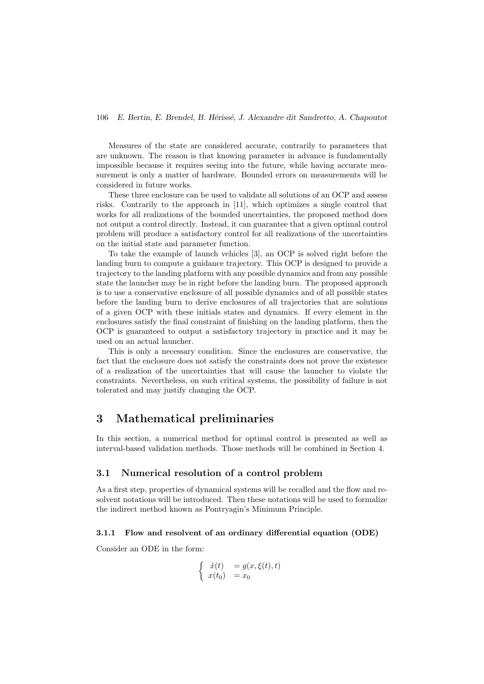Measures of the state are considered accurate, contrarily to parameters that are unknown. The reason is that knowing parameter in advance is fundamentally impossible because it requires seeing into the future, while having accurate measurement is only a matter of hardware. Bounded errors on measurements will be considered in future works.

These three enclosure can be used to validate all solutions of an OCP and assess risks. Contrarily to the approach in [11], which optimizes a single control that works for all realizations of the bounded uncertainties, the proposed method does not output a control directly. Instead, it can guarantee that a given optimal control problem will produce a satisfactory control for all realizations of the uncertainties on the initial state and parameter function.

To take the example of launch vehicles [3], an OCP is solved right before the landing burn to compute a guidance trajectory. This OCP is designed to provide a trajectory to the landing platform with any possible dynamics and from any possible state the launcher may be in right before the landing burn. The proposed approach is to use a conservative enclosure of all possible dynamics and of all possible states before the landing burn to derive enclosures of all trajectories that are solutions of a given OCP with these initials states and dynamics. If every element in the enclosures satisfy the final constraint of finishing on the landing platform, then the OCP is guaranteed to output a satisfactory trajectory in practice and it may be used on an actual launcher.

This is only a necessary condition. Since the enclosures are conservative, the fact that the enclosure does not satisfy the constraints does not prove the existence of a realization of the uncertainties that will cause the launcher to violate the constraints. Nevertheless, on such critical systems, the possibility of failure is not tolerated and may justify changing the OCP.

# 3 Mathematical preliminaries

In this section, a numerical method for optimal control is presented as well as interval-based validation methods. Those methods will be combined in Section 4.

# 3.1 Numerical resolution of a control problem

As a first step, properties of dynamical systems will be recalled and the flow and resolvent notations will be introduced. Then these notations will be used to formalize the indirect method known as Pontryagin's Minimum Principle.

### 3.1.1 Flow and resolvent of an ordinary differential equation (ODE)

Consider an ODE in the form:

$$
\begin{cases}\n\dot{x}(t) = g(x,\xi(t),t) \\
x(t_0) = x_0\n\end{cases}
$$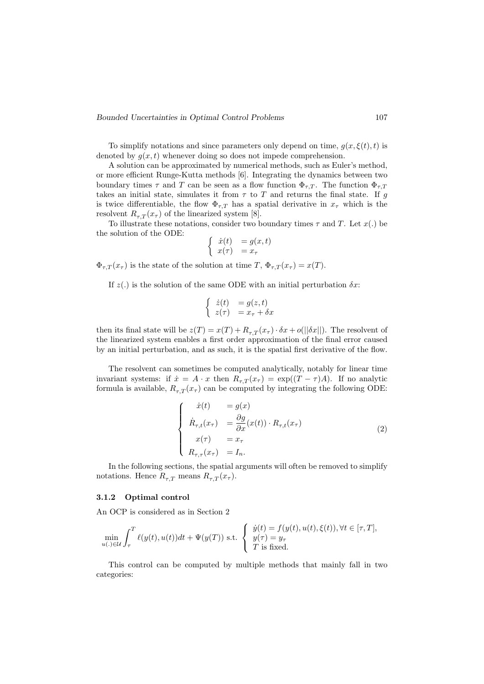Bounded Uncertainties in Optimal Control Problems 107

To simplify notations and since parameters only depend on time,  $g(x, \xi(t), t)$  is denoted by  $g(x, t)$  whenever doing so does not impede comprehension.

A solution can be approximated by numerical methods, such as Euler's method, or more efficient Runge-Kutta methods [6]. Integrating the dynamics between two boundary times  $\tau$  and T can be seen as a flow function  $\Phi_{\tau,T}$ . The function  $\Phi_{\tau,T}$ takes an initial state, simulates it from  $\tau$  to T and returns the final state. If g is twice differentiable, the flow  $\Phi_{\tau,T}$  has a spatial derivative in  $x_{\tau}$  which is the resolvent  $R_{\tau,T}(x_{\tau})$  of the linearized system [8].

To illustrate these notations, consider two boundary times  $\tau$  and T. Let  $x(.)$  be the solution of the ODE:

$$
\begin{cases} \dot{x}(t) = g(x,t) \\ x(\tau) = x_{\tau} \end{cases}
$$

 $\Phi_{\tau,T}(x_{\tau})$  is the state of the solution at time  $T, \Phi_{\tau,T}(x_{\tau}) = x(T)$ .

If  $z(.)$  is the solution of the same ODE with an initial perturbation  $\delta x$ :

$$
\begin{cases}\n\dot{z}(t) &= g(z, t) \\
z(\tau) &= x_{\tau} + \delta x\n\end{cases}
$$

then its final state will be  $z(T) = x(T) + R_{\tau,T}(x_{\tau}) \cdot \delta x + o(||\delta x||)$ . The resolvent of the linearized system enables a first order approximation of the final error caused by an initial perturbation, and as such, it is the spatial first derivative of the flow.

The resolvent can sometimes be computed analytically, notably for linear time invariant systems: if  $\dot{x} = A \cdot x$  then  $R_{\tau,T}(x_{\tau}) = \exp((T - \tau)A)$ . If no analytic formula is available,  $R_{\tau,T}(x_\tau)$  can be computed by integrating the following ODE:

$$
\begin{cases}\n\dot{x}(t) = g(x) \\
\dot{R}_{\tau,t}(x_{\tau}) = \frac{\partial g}{\partial x}(x(t)) \cdot R_{\tau,t}(x_{\tau}) \\
x(\tau) = x_{\tau} \\
R_{\tau,\tau}(x_{\tau}) = I_n.\n\end{cases}
$$
\n(2)

In the following sections, the spatial arguments will often be removed to simplify notations. Hence  $R_{\tau,T}$  means  $R_{\tau,T}(x_\tau)$ .

# 3.1.2 Optimal control

An OCP is considered as in Section 2

$$
\min_{u(\cdot) \in \mathcal{U}} \int_{\tau}^{T} \ell(y(t), u(t))dt + \Psi(y(T)) \text{ s.t. } \begin{cases} \dot{y}(t) = f(y(t), u(t), \xi(t)), \forall t \in [\tau, T], \\ y(\tau) = y_{\tau} \\ T \text{ is fixed.} \end{cases}
$$

This control can be computed by multiple methods that mainly fall in two categories: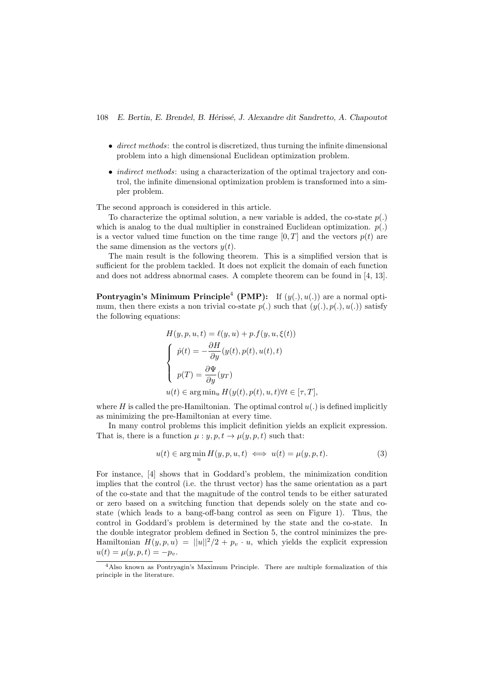- direct methods: the control is discretized, thus turning the infinite dimensional problem into a high dimensional Euclidean optimization problem.
- *indirect methods*: using a characterization of the optimal trajectory and control, the infinite dimensional optimization problem is transformed into a simpler problem.

The second approach is considered in this article.

To characterize the optimal solution, a new variable is added, the co-state  $p(.)$ which is analog to the dual multiplier in constrained Euclidean optimization.  $p(.)$ is a vector valued time function on the time range  $[0, T]$  and the vectors  $p(t)$  are the same dimension as the vectors  $y(t)$ .

The main result is the following theorem. This is a simplified version that is sufficient for the problem tackled. It does not explicit the domain of each function and does not address abnormal cases. A complete theorem can be found in [4, 13].

**Pontryagin's Minimum Principle<sup>4</sup> (PMP):** If  $(y(.), u(.))$  are a normal optimum, then there exists a non trivial co-state  $p(.)$  such that  $(y(.), p(.), u(.)$  satisfy the following equations:

$$
H(y, p, u, t) = \ell(y, u) + p \cdot f(y, u, \xi(t))
$$
  
\n
$$
\begin{cases}\n\dot{p}(t) = -\frac{\partial H}{\partial y}(y(t), p(t), u(t), t) \\
p(T) = \frac{\partial \Psi}{\partial y}(y_T) \\
u(t) \in \arg\min_u H(y(t), p(t), u, t) \forall t \in [\tau, T],\n\end{cases}
$$

where H is called the pre-Hamiltonian. The optimal control  $u(.)$  is defined implicitly as minimizing the pre-Hamiltonian at every time.

In many control problems this implicit definition yields an explicit expression. That is, there is a function  $\mu : y, p, t \to \mu(y, p, t)$  such that:

$$
u(t) \in \arg\min_{u} H(y, p, u, t) \iff u(t) = \mu(y, p, t). \tag{3}
$$

For instance, [4] shows that in Goddard's problem, the minimization condition implies that the control (i.e. the thrust vector) has the same orientation as a part of the co-state and that the magnitude of the control tends to be either saturated or zero based on a switching function that depends solely on the state and costate (which leads to a bang-off-bang control as seen on Figure 1). Thus, the control in Goddard's problem is determined by the state and the co-state. In the double integrator problem defined in Section 5, the control minimizes the pre-Hamiltonian  $H(y, p, u) = ||u||^2/2 + p_v \cdot u$ , which yields the explicit expression  $u(t) = \mu(y, p, t) = -p_v.$ 

<sup>4</sup>Also known as Pontryagin's Maximum Principle. There are multiple formalization of this principle in the literature.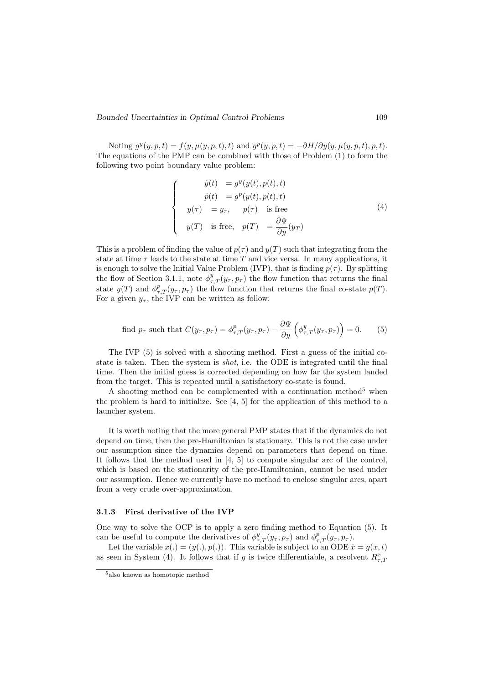Bounded Uncertainties in Optimal Control Problems 109

 $\sqrt{ }$  $\int$ 

 $\overline{\mathcal{L}}$ 

Noting  $g^y(y, p, t) = f(y, \mu(y, p, t), t)$  and  $g^p(y, p, t) = -\partial H/\partial y(y, \mu(y, p, t), p, t)$ . The equations of the PMP can be combined with those of Problem (1) to form the following two point boundary value problem:

$$
\dot{y}(t) = g^{y}(y(t), p(t), t)
$$
\n
$$
\dot{p}(t) = g^{p}(y(t), p(t), t)
$$
\n
$$
y(\tau) = y_{\tau}, \quad p(\tau) \text{ is free}
$$
\n
$$
y(T) \text{ is free}, \quad p(T) = \frac{\partial \Psi}{\partial y}(y_T)
$$
\n(4)

This is a problem of finding the value of  $p(\tau)$  and  $y(T)$  such that integrating from the state at time  $\tau$  leads to the state at time T and vice versa. In many applications, it is enough to solve the Initial Value Problem (IVP), that is finding  $p(\tau)$ . By splitting the flow of Section 3.1.1, note  $\phi_{\tau,T}^y(y_\tau, p_\tau)$  the flow function that returns the final state  $y(T)$  and  $\phi_{\tau,T}^p(y_\tau, p_\tau)$  the flow function that returns the final co-state  $p(T)$ . For a given  $y_{\tau}$ , the IVP can be written as follow:

find 
$$
p_{\tau}
$$
 such that  $C(y_{\tau}, p_{\tau}) = \phi_{\tau,T}^p(y_{\tau}, p_{\tau}) - \frac{\partial \Psi}{\partial y} \left( \phi_{\tau,T}^y(y_{\tau}, p_{\tau}) \right) = 0.$  (5)

The IVP (5) is solved with a shooting method. First a guess of the initial costate is taken. Then the system is shot, i.e. the ODE is integrated until the final time. Then the initial guess is corrected depending on how far the system landed from the target. This is repeated until a satisfactory co-state is found.

A shooting method can be complemented with a continuation method<sup>5</sup> when the problem is hard to initialize. See [4, 5] for the application of this method to a launcher system.

It is worth noting that the more general PMP states that if the dynamics do not depend on time, then the pre-Hamiltonian is stationary. This is not the case under our assumption since the dynamics depend on parameters that depend on time. It follows that the method used in [4, 5] to compute singular arc of the control, which is based on the stationarity of the pre-Hamiltonian, cannot be used under our assumption. Hence we currently have no method to enclose singular arcs, apart from a very crude over-approximation.

### 3.1.3 First derivative of the IVP

One way to solve the OCP is to apply a zero finding method to Equation (5). It can be useful to compute the derivatives of  $\phi_{\tau,T}^y(y_\tau, p_\tau)$  and  $\phi_{\tau,T}^p(y_\tau, p_\tau)$ .

Let the variable  $x(.) = (y(.), p(.))$ . This variable is subject to an ODE  $\dot{x} = g(x, t)$ as seen in System (4). It follows that if g is twice differentiable, a resolvent  $R_{\tau,\mathcal{I}}^x$ 

<sup>5</sup>also known as homotopic method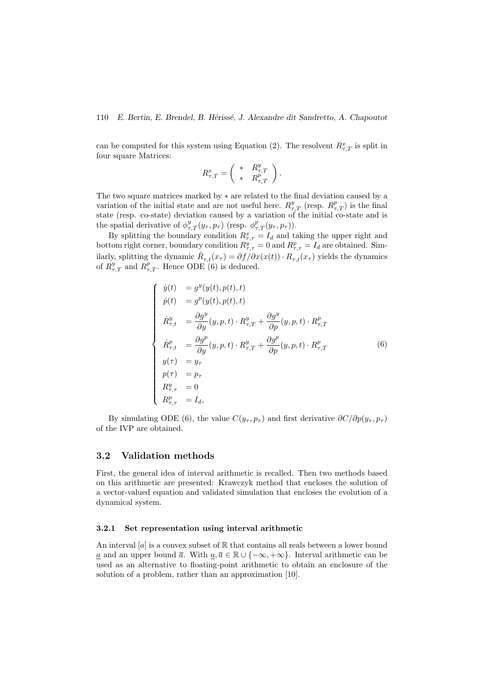can be computed for this system using Equation (2). The resolvent  $R_{\tau,T}^x$  is split in four square Matrices:

$$
R^x_{\tau,T} = \left( \begin{array}{cc} * & R^y_{\tau,T} \\ * & R^p_{\tau,T} \end{array} \right).
$$

The two square matrices marked by ∗ are related to the final deviation caused by a variation of the initial state and are not useful here.  $R_{\tau,T}^y$  (resp.  $R_{\tau,T}^p$ ) is the final state (resp. co-state) deviation caused by a variation of the initial co-state and is the spatial derivative of  $\phi_{\tau,T}^y(y_\tau, p_\tau)$  (resp.  $\phi_{\tau,T}^p(y_\tau, p_\tau)$ ).

By splitting the boundary condition  $R^x_{\tau,\tau} = I_d$  and taking the upper right and bottom right corner, boundary condition  $R_{\tau,\tau}^y = 0$  and  $R_{\tau,\tau}^p = I_d$  are obtained. Similarly, splitting the dynamic  $R_{\tau,t}(x_\tau) = \partial f / \partial x(x(t)) \cdot R_{\tau,t}(x_\tau)$  yields the dynamics of  $R_{\tau,T}^y$  and  $R_{\tau,T}^p$ . Hence ODE (6) is deduced.

$$
\begin{cases}\n\dot{y}(t) = g^{y}(y(t), p(t), t) \\
\dot{p}(t) = g^{p}(y(t), p(t), t) \\
\dot{R}^{y}_{\tau, t} = \frac{\partial g^{y}}{\partial y}(y, p, t) \cdot R^{y}_{\tau, T} + \frac{\partial g^{y}}{\partial p}(y, p, t) \cdot R^{p}_{\tau, T} \\
\dot{R}^{p}_{\tau, t} = \frac{\partial g^{p}}{\partial y}(y, p, t) \cdot R^{y}_{\tau, T} + \frac{\partial g^{p}}{\partial p}(y, p, t) \cdot R^{p}_{\tau, T} \\
y(\tau) = y_{\tau} \\
p(\tau) = p_{\tau} \\
R^{y}_{\tau, \tau} = 0 \\
R^{p}_{\tau, \tau} = I_{d},\n\end{cases}
$$
\n(6)

By simulating ODE (6), the value  $C(y_\tau, p_\tau)$  and first derivative  $\partial C/\partial p(y_\tau, p_\tau)$ of the IVP are obtained.

### 3.2 Validation methods

First, the general idea of interval arithmetic is recalled. Then two methods based on this arithmetic are presented: Krawczyk method that encloses the solution of a vector-valued equation and validated simulation that encloses the evolution of a dynamical system.

#### 3.2.1 Set representation using interval arithmetic

An interval  $[a]$  is a convex subset of  $\mathbb R$  that contains all reals between a lower bound <u>a</u> and an upper bound  $\overline{a}$ . With  $\underline{a}, \overline{a} \in \mathbb{R} \cup \{-\infty, +\infty\}$ . Interval arithmetic can be used as an alternative to floating-point arithmetic to obtain an enclosure of the solution of a problem, rather than an approximation [10].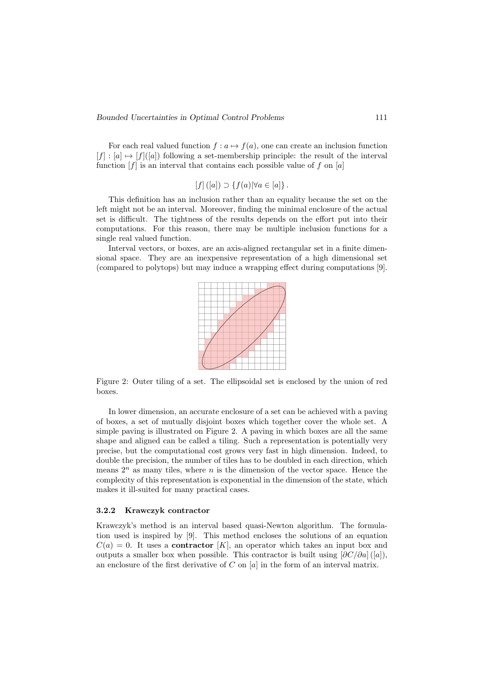For each real valued function  $f : a \mapsto f(a)$ , one can create an inclusion function  $[f] : [a] \mapsto [f]([a])$  following a set-membership principle: the result of the interval function  $[f]$  is an interval that contains each possible value of f on  $[a]$ 

$$
[f] ([a]) \supset \{f(a)| \forall a \in [a]\}.
$$

This definition has an inclusion rather than an equality because the set on the left might not be an interval. Moreover, finding the minimal enclosure of the actual set is difficult. The tightness of the results depends on the effort put into their computations. For this reason, there may be multiple inclusion functions for a single real valued function.

Interval vectors, or boxes, are an axis-aligned rectangular set in a finite dimensional space. They are an inexpensive representation of a high dimensional set (compared to polytops) but may induce a wrapping effect during computations [9].



Figure 2: Outer tiling of a set. The ellipsoidal set is enclosed by the union of red boxes.

In lower dimension, an accurate enclosure of a set can be achieved with a paving of boxes, a set of mutually disjoint boxes which together cover the whole set. A simple paving is illustrated on Figure 2. A paving in which boxes are all the same shape and aligned can be called a tiling. Such a representation is potentially very precise, but the computational cost grows very fast in high dimension. Indeed, to double the precision, the number of tiles has to be doubled in each direction, which means  $2^n$  as many tiles, where n is the dimension of the vector space. Hence the complexity of this representation is exponential in the dimension of the state, which makes it ill-suited for many practical cases.

### 3.2.2 Krawczyk contractor

Krawczyk's method is an interval based quasi-Newton algorithm. The formulation used is inspired by [9]. This method encloses the solutions of an equation  $C(a) = 0$ . It uses a **contractor** [K], an operator which takes an input box and outputs a smaller box when possible. This contractor is built using  $[\partial C/\partial a]$  ([a]), an enclosure of the first derivative of  $C$  on  $[a]$  in the form of an interval matrix.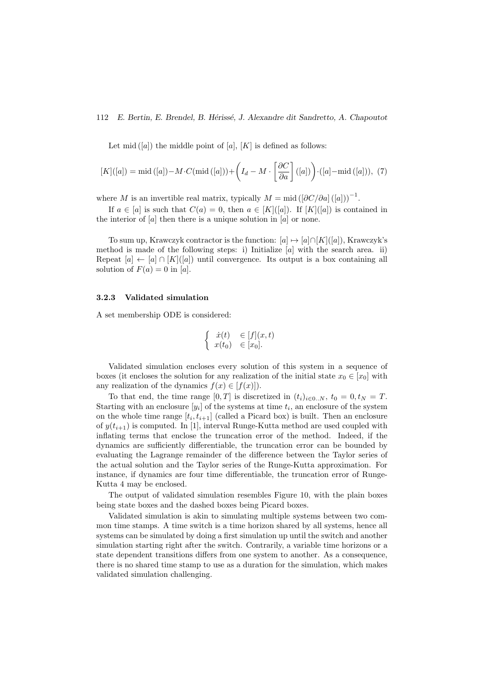Let mid  $([a])$  the middle point of  $[a]$ ,  $[K]$  is defined as follows:

$$
[K]([a]) = \text{mid} ([a]) - M \cdot C(\text{mid} ([a])) + \left(I_d - M \cdot \left[\frac{\partial C}{\partial a}\right] ([a])\right) \cdot ([a] - \text{mid} ([a])), \tag{7}
$$

where M is an invertible real matrix, typically  $M = \text{mid} \left( \left[ \partial C / \partial a \right] (a) \right)^{-1}$ .

If  $a \in [a]$  is such that  $C(a) = 0$ , then  $a \in [K]([a])$ . If  $[K]([a])$  is contained in the interior of  $[a]$  then there is a unique solution in  $[a]$  or none.

To sum up, Krawczyk contractor is the function:  $[a] \mapsto [a] \cap [K]([a])$ , Krawczyk's method is made of the following steps: i) Initialize  $[a]$  with the search area. ii) Repeat  $[a] \leftarrow [a] \cap [K]([a])$  until convergence. Its output is a box containing all solution of  $F(a) = 0$  in [a].

#### 3.2.3 Validated simulation

A set membership ODE is considered:

$$
\begin{cases}\n\dot{x}(t) & \in [f](x,t) \\
x(t_0) & \in [x_0].\n\end{cases}
$$

Validated simulation encloses every solution of this system in a sequence of boxes (it encloses the solution for any realization of the initial state  $x_0 \in [x_0]$  with any realization of the dynamics  $f(x) \in [f(x)]$ .

To that end, the time range  $[0, T]$  is discretized in  $(t_i)_{i \in 0..N}$ ,  $t_0 = 0, t_N = T$ . Starting with an enclosure  $[y_i]$  of the systems at time  $t_i$ , an enclosure of the system on the whole time range  $[t_i, t_{i+1}]$  (called a Picard box) is built. Then an enclosure of  $y(t_{i+1})$  is computed. In [1], interval Runge-Kutta method are used coupled with inflating terms that enclose the truncation error of the method. Indeed, if the dynamics are sufficiently differentiable, the truncation error can be bounded by evaluating the Lagrange remainder of the difference between the Taylor series of the actual solution and the Taylor series of the Runge-Kutta approximation. For instance, if dynamics are four time differentiable, the truncation error of Runge-Kutta 4 may be enclosed.

The output of validated simulation resembles Figure 10, with the plain boxes being state boxes and the dashed boxes being Picard boxes.

Validated simulation is akin to simulating multiple systems between two common time stamps. A time switch is a time horizon shared by all systems, hence all systems can be simulated by doing a first simulation up until the switch and another simulation starting right after the switch. Contrarily, a variable time horizons or a state dependent transitions differs from one system to another. As a consequence, there is no shared time stamp to use as a duration for the simulation, which makes validated simulation challenging.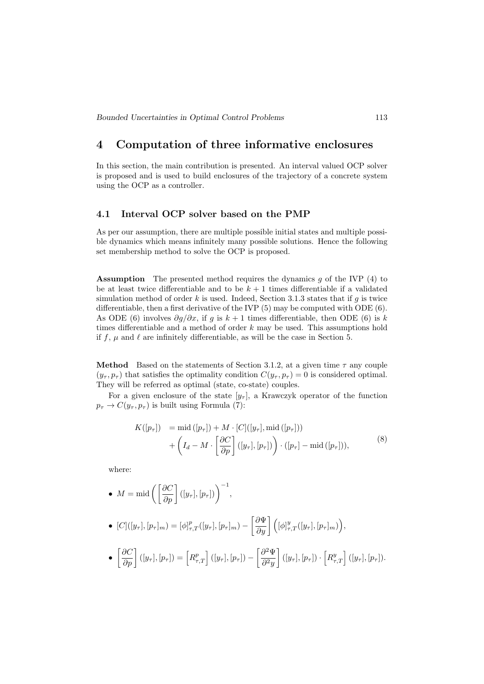# 4 Computation of three informative enclosures

In this section, the main contribution is presented. An interval valued OCP solver is proposed and is used to build enclosures of the trajectory of a concrete system using the OCP as a controller.

### 4.1 Interval OCP solver based on the PMP

As per our assumption, there are multiple possible initial states and multiple possible dynamics which means infinitely many possible solutions. Hence the following set membership method to solve the OCP is proposed.

Assumption The presented method requires the dynamics g of the IVP (4) to be at least twice differentiable and to be  $k + 1$  times differentiable if a validated simulation method of order k is used. Indeed, Section 3.1.3 states that if q is twice differentiable, then a first derivative of the IVP (5) may be computed with ODE (6). As ODE (6) involves  $\partial g/\partial x$ , if g is  $k+1$  times differentiable, then ODE (6) is k times differentiable and a method of order  $k$  may be used. This assumptions hold if f,  $\mu$  and  $\ell$  are infinitely differentiable, as will be the case in Section 5.

**Method** Based on the statements of Section 3.1.2, at a given time  $\tau$  any couple  $(y_{\tau}, p_{\tau})$  that satisfies the optimality condition  $C(y_{\tau}, p_{\tau}) = 0$  is considered optimal. They will be referred as optimal (state, co-state) couples.

For a given enclosure of the state  $[y_\tau]$ , a Krawczyk operator of the function  $p_{\tau} \rightarrow C(y_{\tau}, p_{\tau})$  is built using Formula (7):

$$
K([p_{\tau}]) = \text{mid}([p_{\tau}]) + M \cdot [C]([y_{\tau}], \text{mid}([p_{\tau}]))
$$
  
+ 
$$
\left(I_d - M \cdot \left[\frac{\partial C}{\partial p}\right]([y_{\tau}], [p_{\tau}])\right) \cdot ([p_{\tau}] - \text{mid}([p_{\tau}])),
$$
 (8)

where:

• 
$$
M = \text{mid}\left(\left[\frac{\partial C}{\partial p}\right]([y_\tau],[p_\tau])\right)^{-1}
$$

• 
$$
[C]([y_\tau], [p_\tau]_m) = [\phi]_{\tau,T}^p([y_\tau], [p_\tau]_m) - \left[\frac{\partial \Psi}{\partial y}\right] \left([\phi]_{\tau,T}^y([y_\tau], [p_\tau]_m)\right),
$$
  
\n•  $\left[\frac{\partial C}{\partial p}\right] ([y_\tau], [p_\tau]) = \left[R_{\tau,T}^p\right] ([y_\tau], [p_\tau]) - \left[\frac{\partial^2 \Psi}{\partial y}\right] ([y_\tau], [p_\tau]) \cdot \left[R_{\tau,T}^y\right] ([y_\tau], [p_\tau]).$ 

,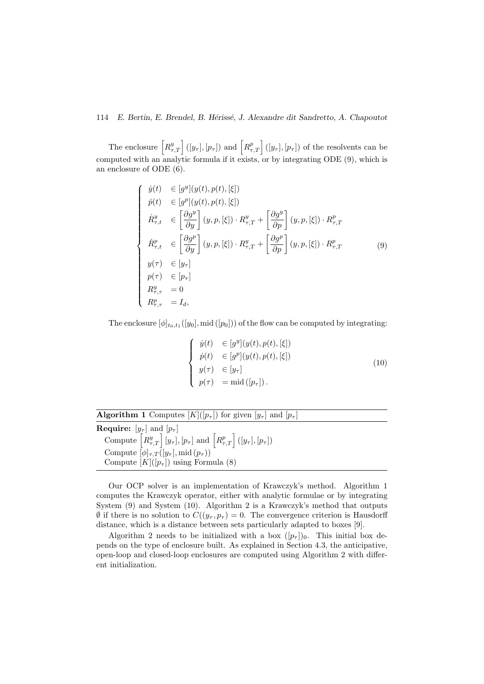The enclosure  $\left[R_{\tau,T}^y\right]([y_\tau],[p_\tau])$  and  $\left[R_{\tau,T}^p\right]([y_\tau],[p_\tau])$  of the resolvents can be computed with an analytic formula if it exists, or by integrating ODE (9), which is an enclosure of ODE (6).

$$
\begin{cases}\n\dot{y}(t) & \in [g^y](y(t), p(t), [\xi]) \\
\dot{p}(t) & \in [g^p](y(t), p(t), [\xi]) \\
\dot{R}^y_{\tau, t} & \in \left[\frac{\partial g^y}{\partial y}\right](y, p, [\xi]) \cdot R^y_{\tau, T} + \left[\frac{\partial g^y}{\partial p}\right](y, p, [\xi]) \cdot R^p_{\tau, T} \\
\dot{R}^p_{\tau, t} & \in \left[\frac{\partial g^p}{\partial y}\right](y, p, [\xi]) \cdot R^y_{\tau, T} + \left[\frac{\partial g^p}{\partial p}\right](y, p, [\xi]) \cdot R^p_{\tau, T} \\
y(\tau) & \in [y_\tau] \\
p(\tau) & \in [p_\tau] \\
R^y_{\tau, \tau} = 0 \\
R^p_{\tau, \tau} = I_d,\n\end{cases}
$$
\n(9)

The enclosure  $[\phi]_{t_0,t_1}([y_0], \text{mid}([p_0]))$  of the flow can be computed by integrating:

$$
\begin{cases}\n\dot{y}(t) & \in [g^y](y(t), p(t), [\xi]) \\
\dot{p}(t) & \in [g^p](y(t), p(t), [\xi]) \\
y(\tau) & \in [y_\tau] \\
p(\tau) & = \text{mid} ([p_\tau]).\n\end{cases} (10)
$$

| <b>Algorithm 1</b> Computes $[K](p_\tau)$ for given $[y_\tau]$ and $[p_\tau]$                                     |
|-------------------------------------------------------------------------------------------------------------------|
| <b>Require:</b> $[y_\tau]$ and $[p_\tau]$                                                                         |
| Compute $\left[R_{\tau,T}^y\right][y_{\tau}], [p_{\tau}]$ and $\left[R_{\tau,T}^p\right]([y_{\tau}], [p_{\tau}])$ |
| Compute $[\phi]_{\tau,T}([y_{\tau}], \text{mid}(p_{\tau}))$                                                       |
| Compute $[K](p_\tau)$ using Formula (8)                                                                           |

Our OCP solver is an implementation of Krawczyk's method. Algorithm 1 computes the Krawczyk operator, either with analytic formulae or by integrating System (9) and System (10). Algorithm 2 is a Krawczyk's method that outputs  $\emptyset$  if there is no solution to  $C((y_\tau, p_\tau) = 0$ . The convergence criterion is Hausdorff distance, which is a distance between sets particularly adapted to boxes [9].

Algorithm 2 needs to be initialized with a box  $([p<sub>\tau</sub>])_0$ . This initial box depends on the type of enclosure built. As explained in Section 4.3, the anticipative, open-loop and closed-loop enclosures are computed using Algorithm 2 with different initialization.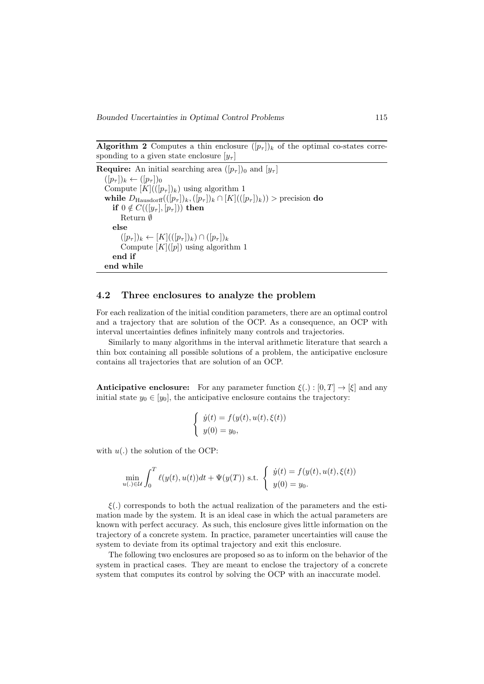**Algorithm 2** Computes a thin enclosure  $([p_\tau])_k$  of the optimal co-states corresponding to a given state enclosure  $[y_\tau]$ 

**Require:** An initial searching area  $([p_\tau])_0$  and  $[y_\tau]$  $([p_\tau])_k \leftarrow ([p_\tau])_0$ Compute  $[K]((p_\tau)_{k})$  using algorithm 1 while  $D_{\text{Hausdorff}}((p_{\tau}])_k, (p_{\tau}])_k \cap [K]((p_{\tau}])_k)$  > precision do if  $0 \notin C(([y_\tau], [p_\tau]))$  then Return ∅ else  $([p_{\tau}])_k \leftarrow [K](([p_{\tau}])_k) \cap ([p_{\tau}])_k$ Compute  $[K](p)$  using algorithm 1 end if end while

### 4.2 Three enclosures to analyze the problem

For each realization of the initial condition parameters, there are an optimal control and a trajectory that are solution of the OCP. As a consequence, an OCP with interval uncertainties defines infinitely many controls and trajectories.

Similarly to many algorithms in the interval arithmetic literature that search a thin box containing all possible solutions of a problem, the anticipative enclosure contains all trajectories that are solution of an OCP.

**Anticipative enclosure:** For any parameter function  $\xi(.) : [0, T] \rightarrow [\xi]$  and any initial state  $y_0 \in [y_0]$ , the anticipative enclosure contains the trajectory:

$$
\begin{cases} \dot{y}(t) = f(y(t), u(t), \xi(t)) \\ y(0) = y_0, \end{cases}
$$

with  $u(.)$  the solution of the OCP:

$$
\min_{u(.) \in \mathcal{U}} \int_0^T \ell(y(t), u(t)) dt + \Psi(y(T)) \text{ s.t. } \begin{cases} \dot{y}(t) = f(y(t), u(t), \xi(t)) \\ y(0) = y_0. \end{cases}
$$

 $\xi(.)$  corresponds to both the actual realization of the parameters and the estimation made by the system. It is an ideal case in which the actual parameters are known with perfect accuracy. As such, this enclosure gives little information on the trajectory of a concrete system. In practice, parameter uncertainties will cause the system to deviate from its optimal trajectory and exit this enclosure.

The following two enclosures are proposed so as to inform on the behavior of the system in practical cases. They are meant to enclose the trajectory of a concrete system that computes its control by solving the OCP with an inaccurate model.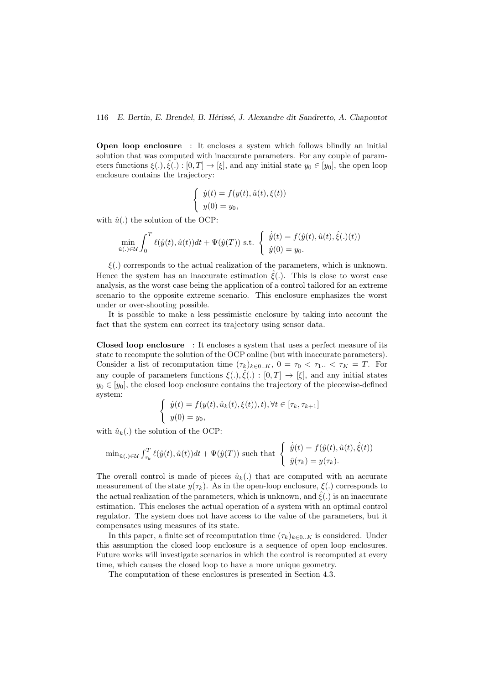Open loop enclosure : It encloses a system which follows blindly an initial solution that was computed with inaccurate parameters. For any couple of parameters functions  $\xi(.)$ ,  $\hat{\xi}(.)$ :  $[0, T] \rightarrow [\xi]$ , and any initial state  $y_0 \in [y_0]$ , the open loop enclosure contains the trajectory:

$$
\begin{cases} \dot{y}(t) = f(y(t), \hat{u}(t), \xi(t)) \\ y(0) = y_0, \end{cases}
$$

with  $\hat{u}(.)$  the solution of the OCP:

$$
\min_{\hat{u}(\cdot) \in \mathcal{U}} \int_0^T \ell(\hat{y}(t), \hat{u}(t))dt + \Psi(\hat{y}(T)) \text{ s.t. } \begin{cases} \dot{\hat{y}}(t) = f(\hat{y}(t), \hat{u}(t), \hat{\xi}(\cdot)(t)) \\ \hat{y}(0) = y_0. \end{cases}
$$

 $\xi(.)$  corresponds to the actual realization of the parameters, which is unknown. Hence the system has an inaccurate estimation  $\hat{\xi}$ . This is close to worst case analysis, as the worst case being the application of a control tailored for an extreme scenario to the opposite extreme scenario. This enclosure emphasizes the worst under or over-shooting possible.

It is possible to make a less pessimistic enclosure by taking into account the fact that the system can correct its trajectory using sensor data.

Closed loop enclosure : It encloses a system that uses a perfect measure of its state to recompute the solution of the OCP online (but with inaccurate parameters). Consider a list of recomputation time  $(\tau_k)_{k\in{0..K}}$ ,  $0 = \tau_0 < \tau_1$ ...  $\tau_K = T$ . For any couple of parameters functions  $\xi(.)$ ,  $\hat{\xi}(.)$ :  $[0,T] \to [\xi]$ , and any initial states  $y_0 \in [y_0]$ , the closed loop enclosure contains the trajectory of the piecewise-defined system:

$$
\begin{cases} \dot{y}(t) = f(y(t), \hat{u}_k(t), \xi(t)), t), \forall t \in [\tau_k, \tau_{k+1}] \\ y(0) = y_0, \end{cases}
$$

with  $\hat{u}_k(.)$  the solution of the OCP:

$$
\min_{\hat{u}(\cdot) \in \mathcal{U}} \int_{\tau_k}^T \ell(\hat{y}(t), \hat{u}(t)) dt + \Psi(\hat{y}(T)) \text{ such that } \begin{cases} \dot{\hat{y}}(t) = f(\hat{y}(t), \hat{u}(t), \hat{\xi}(t)) \\ \hat{y}(\tau_k) = y(\tau_k). \end{cases}
$$

The overall control is made of pieces  $\hat{u}_k$ . that are computed with an accurate measurement of the state  $y(\tau_k)$ . As in the open-loop enclosure,  $\xi(.)$  corresponds to the actual realization of the parameters, which is unknown, and  $\xi(.)$  is an inaccurate estimation. This encloses the actual operation of a system with an optimal control regulator. The system does not have access to the value of the parameters, but it compensates using measures of its state.

In this paper, a finite set of recomputation time  $(\tau_k)_{k\in{0..K}}$  is considered. Under this assumption the closed loop enclosure is a sequence of open loop enclosures. Future works will investigate scenarios in which the control is recomputed at every time, which causes the closed loop to have a more unique geometry.

The computation of these enclosures is presented in Section 4.3.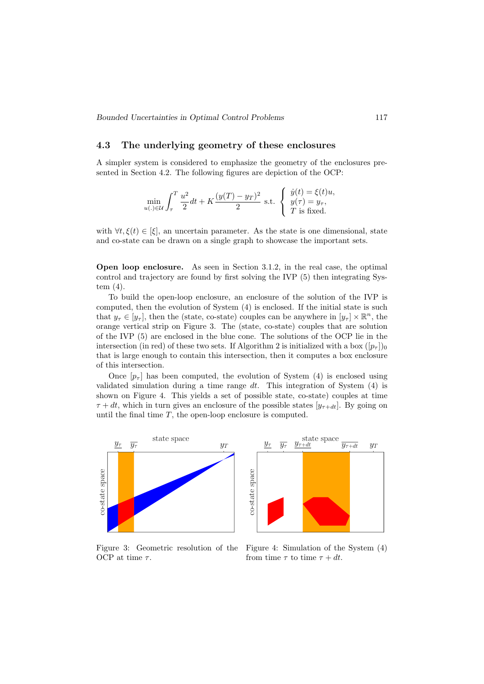## 4.3 The underlying geometry of these enclosures

A simpler system is considered to emphasize the geometry of the enclosures presented in Section 4.2. The following figures are depiction of the OCP:

$$
\min_{u(.)\in\mathcal{U}} \int_{\tau}^{T} \frac{u^2}{2} dt + K \frac{(y(T) - y_T)^2}{2} \text{ s.t. } \begin{cases} \dot{y}(t) = \xi(t)u, \\ y(\tau) = y_\tau, \\ T \text{ is fixed.} \end{cases}
$$

with  $\forall t, \xi(t) \in [\xi]$ , an uncertain parameter. As the state is one dimensional, state and co-state can be drawn on a single graph to showcase the important sets.

Open loop enclosure. As seen in Section 3.1.2, in the real case, the optimal control and trajectory are found by first solving the IVP (5) then integrating System (4).

To build the open-loop enclosure, an enclosure of the solution of the IVP is computed, then the evolution of System (4) is enclosed. If the initial state is such that  $y_{\tau} \in [y_{\tau}]$ , then the (state, co-state) couples can be anywhere in  $[y_{\tau}] \times \mathbb{R}^n$ , the orange vertical strip on Figure 3. The (state, co-state) couples that are solution of the IVP (5) are enclosed in the blue cone. The solutions of the OCP lie in the intersection (in red) of these two sets. If Algorithm 2 is initialized with a box  $([p_\tau])_0$ that is large enough to contain this intersection, then it computes a box enclosure of this intersection.

Once  $[p_\tau]$  has been computed, the evolution of System (4) is enclosed using validated simulation during a time range  $dt$ . This integration of System  $(4)$  is shown on Figure 4. This yields a set of possible state, co-state) couples at time  $\tau + dt$ , which in turn gives an enclosure of the possible states  $[y_{\tau+dt}]$ . By going on until the final time  $T$ , the open-loop enclosure is computed.



Figure 3: Geometric resolution of the OCP at time  $\tau$ .

Figure 4: Simulation of the System (4) from time  $\tau$  to time  $\tau + dt$ .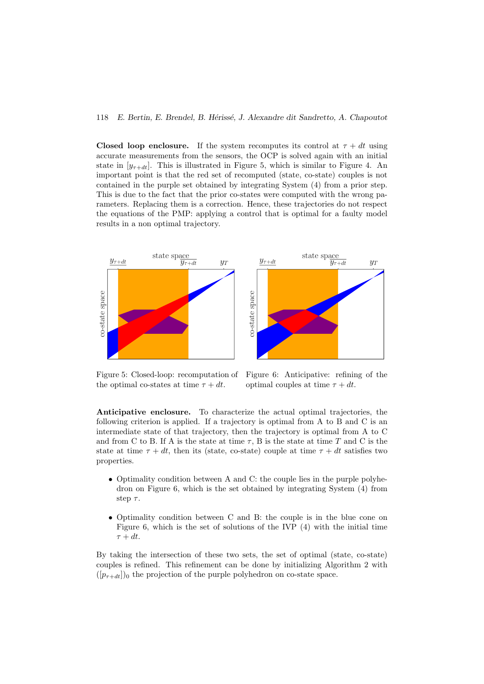Closed loop enclosure. If the system recomputes its control at  $\tau + dt$  using accurate measurements from the sensors, the OCP is solved again with an initial state in  $[y_{\tau+dt}]$ . This is illustrated in Figure 5, which is similar to Figure 4. An important point is that the red set of recomputed (state, co-state) couples is not contained in the purple set obtained by integrating System (4) from a prior step. This is due to the fact that the prior co-states were computed with the wrong parameters. Replacing them is a correction. Hence, these trajectories do not respect the equations of the PMP: applying a control that is optimal for a faulty model results in a non optimal trajectory.



Figure 5: Closed-loop: recomputation of the optimal co-states at time  $\tau + dt$ .

Figure 6: Anticipative: refining of the optimal couples at time  $\tau + dt$ .

Anticipative enclosure. To characterize the actual optimal trajectories, the following criterion is applied. If a trajectory is optimal from A to B and C is an intermediate state of that trajectory, then the trajectory is optimal from A to C and from C to B. If A is the state at time  $\tau$ , B is the state at time T and C is the state at time  $\tau + dt$ , then its (state, co-state) couple at time  $\tau + dt$  satisfies two properties.

- Optimality condition between A and C: the couple lies in the purple polyhedron on Figure 6, which is the set obtained by integrating System (4) from step  $\tau$ .
- Optimality condition between C and B: the couple is in the blue cone on Figure 6, which is the set of solutions of the IVP (4) with the initial time  $\tau + dt$ .

By taking the intersection of these two sets, the set of optimal (state, co-state) couples is refined. This refinement can be done by initializing Algorithm 2 with  $([p_{\tau+dt}])_0$  the projection of the purple polyhedron on co-state space.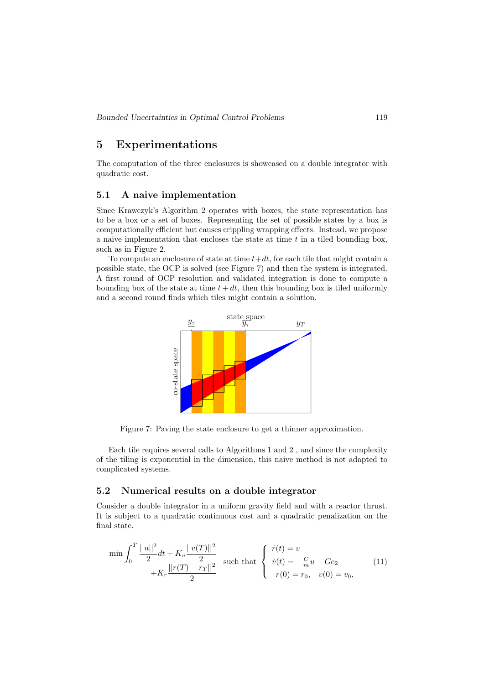# 5 Experimentations

The computation of the three enclosures is showcased on a double integrator with quadratic cost.

## 5.1 A naive implementation

Since Krawczyk's Algorithm 2 operates with boxes, the state representation has to be a box or a set of boxes. Representing the set of possible states by a box is computationally efficient but causes crippling wrapping effects. Instead, we propose a naive implementation that encloses the state at time  $t$  in a tiled bounding box, such as in Figure 2.

To compute an enclosure of state at time  $t+dt$ , for each tile that might contain a possible state, the OCP is solved (see Figure 7) and then the system is integrated. A first round of OCP resolution and validated integration is done to compute a bounding box of the state at time  $t + dt$ , then this bounding box is tiled uniformly and a second round finds which tiles might contain a solution.



Figure 7: Paving the state enclosure to get a thinner approximation.

Each tile requires several calls to Algorithms 1 and 2 , and since the complexity of the tiling is exponential in the dimension, this naive method is not adapted to complicated systems.

### 5.2 Numerical results on a double integrator

Consider a double integrator in a uniform gravity field and with a reactor thrust. It is subject to a quadratic continuous cost and a quadratic penalization on the final state.

$$
\min \int_0^T \frac{||u||^2}{2} dt + K_v \frac{||v(T)||^2}{2} \quad \text{such that} \quad \begin{cases} \dot{r}(t) = v \\ \dot{v}(t) = -\frac{C}{m}u - Ge_2 \\ \dot{v}(t) = -\frac{C}{m}u - Ge_2 \end{cases} \tag{11}
$$
\n
$$
+ K_r \frac{||r(T) - r_T||^2}{2} \quad \text{such that} \quad \begin{cases} \dot{r}(t) = v \\ \dot{v}(t) = -\frac{C}{m}u - Ge_2 \\ r(0) = r_0, \quad v(0) = v_0, \end{cases}
$$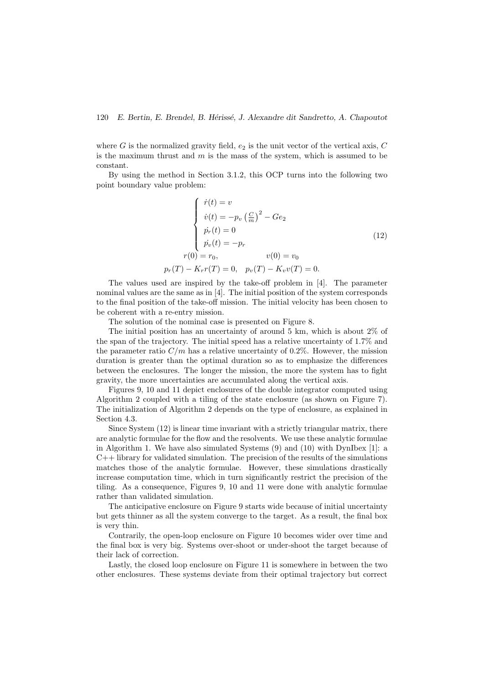where  $G$  is the normalized gravity field,  $e_2$  is the unit vector of the vertical axis,  $C$ is the maximum thrust and  $m$  is the mass of the system, which is assumed to be constant.

By using the method in Section 3.1.2, this OCP turns into the following two point boundary value problem:

$$
\begin{cases}\n\dot{r}(t) = v \\
\dot{v}(t) = -p_v \left(\frac{C}{m}\right)^2 - Ge_2 \\
\dot{p}_r(t) = 0 \\
\dot{p}_v(t) = -p_r\n\end{cases}
$$
\n(12)\n
$$
r(0) = r_0, \qquad v(0) = v_0
$$
\n
$$
p_r(T) - K_r r(T) = 0, \quad p_v(T) - K_v v(T) = 0.
$$

The values used are inspired by the take-off problem in [4]. The parameter nominal values are the same as in [4]. The initial position of the system corresponds to the final position of the take-off mission. The initial velocity has been chosen to be coherent with a re-entry mission.

The solution of the nominal case is presented on Figure 8.

The initial position has an uncertainty of around 5 km, which is about 2% of the span of the trajectory. The initial speed has a relative uncertainty of 1.7% and the parameter ratio  $C/m$  has a relative uncertainty of 0.2%. However, the mission duration is greater than the optimal duration so as to emphasize the differences between the enclosures. The longer the mission, the more the system has to fight gravity, the more uncertainties are accumulated along the vertical axis.

Figures 9, 10 and 11 depict enclosures of the double integrator computed using Algorithm 2 coupled with a tiling of the state enclosure (as shown on Figure 7). The initialization of Algorithm 2 depends on the type of enclosure, as explained in Section 4.3.

Since System (12) is linear time invariant with a strictly triangular matrix, there are analytic formulae for the flow and the resolvents. We use these analytic formulae in Algorithm 1. We have also simulated Systems (9) and (10) with DynIbex [1]: a  $C++$  library for validated simulation. The precision of the results of the simulations matches those of the analytic formulae. However, these simulations drastically increase computation time, which in turn significantly restrict the precision of the tiling. As a consequence, Figures 9, 10 and 11 were done with analytic formulae rather than validated simulation.

The anticipative enclosure on Figure 9 starts wide because of initial uncertainty but gets thinner as all the system converge to the target. As a result, the final box is very thin.

Contrarily, the open-loop enclosure on Figure 10 becomes wider over time and the final box is very big. Systems over-shoot or under-shoot the target because of their lack of correction.

Lastly, the closed loop enclosure on Figure 11 is somewhere in between the two other enclosures. These systems deviate from their optimal trajectory but correct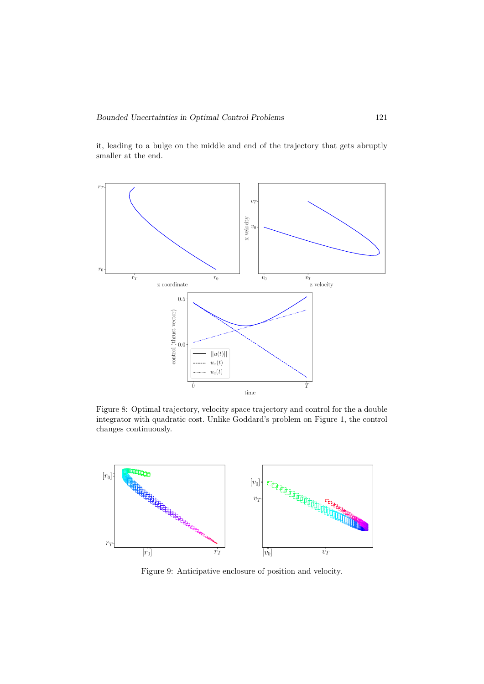it, leading to a bulge on the middle and end of the trajectory that gets abruptly smaller at the end.



Figure 8: Optimal trajectory, velocity space trajectory and control for the a double integrator with quadratic cost. Unlike Goddard's problem on Figure 1, the control changes continuously.



Figure 9: Anticipative enclosure of position and velocity.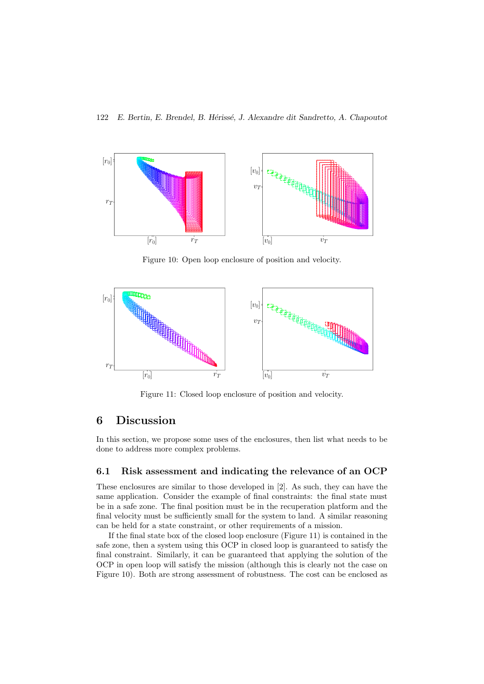

Figure 10: Open loop enclosure of position and velocity.



Figure 11: Closed loop enclosure of position and velocity.

# 6 Discussion

In this section, we propose some uses of the enclosures, then list what needs to be done to address more complex problems.

### 6.1 Risk assessment and indicating the relevance of an OCP

These enclosures are similar to those developed in [2]. As such, they can have the same application. Consider the example of final constraints: the final state must be in a safe zone. The final position must be in the recuperation platform and the final velocity must be sufficiently small for the system to land. A similar reasoning can be held for a state constraint, or other requirements of a mission.

If the final state box of the closed loop enclosure (Figure 11) is contained in the safe zone, then a system using this OCP in closed loop is guaranteed to satisfy the final constraint. Similarly, it can be guaranteed that applying the solution of the OCP in open loop will satisfy the mission (although this is clearly not the case on Figure 10). Both are strong assessment of robustness. The cost can be enclosed as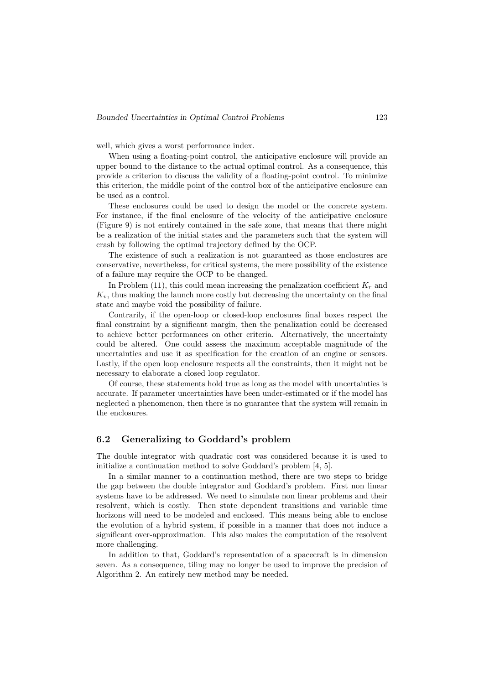well, which gives a worst performance index.

When using a floating-point control, the anticipative enclosure will provide an upper bound to the distance to the actual optimal control. As a consequence, this provide a criterion to discuss the validity of a floating-point control. To minimize this criterion, the middle point of the control box of the anticipative enclosure can be used as a control.

These enclosures could be used to design the model or the concrete system. For instance, if the final enclosure of the velocity of the anticipative enclosure (Figure 9) is not entirely contained in the safe zone, that means that there might be a realization of the initial states and the parameters such that the system will crash by following the optimal trajectory defined by the OCP.

The existence of such a realization is not guaranteed as those enclosures are conservative, nevertheless, for critical systems, the mere possibility of the existence of a failure may require the OCP to be changed.

In Problem (11), this could mean increasing the penalization coefficient  $K_r$  and  $K_v$ , thus making the launch more costly but decreasing the uncertainty on the final state and maybe void the possibility of failure.

Contrarily, if the open-loop or closed-loop enclosures final boxes respect the final constraint by a significant margin, then the penalization could be decreased to achieve better performances on other criteria. Alternatively, the uncertainty could be altered. One could assess the maximum acceptable magnitude of the uncertainties and use it as specification for the creation of an engine or sensors. Lastly, if the open loop enclosure respects all the constraints, then it might not be necessary to elaborate a closed loop regulator.

Of course, these statements hold true as long as the model with uncertainties is accurate. If parameter uncertainties have been under-estimated or if the model has neglected a phenomenon, then there is no guarantee that the system will remain in the enclosures.

# 6.2 Generalizing to Goddard's problem

The double integrator with quadratic cost was considered because it is used to initialize a continuation method to solve Goddard's problem [4, 5].

In a similar manner to a continuation method, there are two steps to bridge the gap between the double integrator and Goddard's problem. First non linear systems have to be addressed. We need to simulate non linear problems and their resolvent, which is costly. Then state dependent transitions and variable time horizons will need to be modeled and enclosed. This means being able to enclose the evolution of a hybrid system, if possible in a manner that does not induce a significant over-approximation. This also makes the computation of the resolvent more challenging.

In addition to that, Goddard's representation of a spacecraft is in dimension seven. As a consequence, tiling may no longer be used to improve the precision of Algorithm 2. An entirely new method may be needed.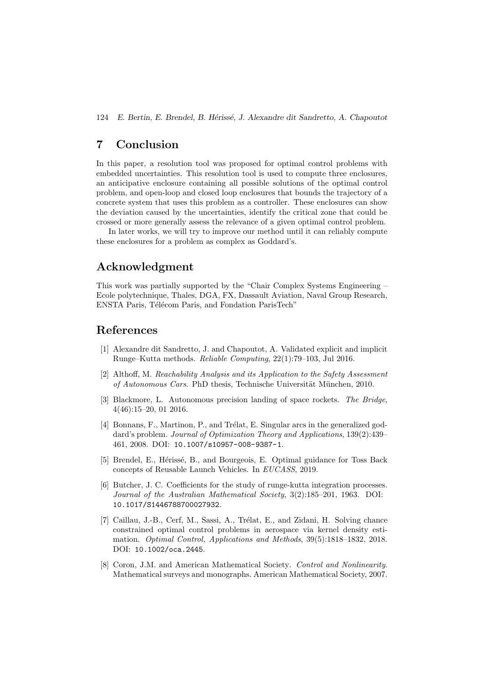# 7 Conclusion

In this paper, a resolution tool was proposed for optimal control problems with embedded uncertainties. This resolution tool is used to compute three enclosures, an anticipative enclosure containing all possible solutions of the optimal control problem, and open-loop and closed loop enclosures that bounds the trajectory of a concrete system that uses this problem as a controller. These enclosures can show the deviation caused by the uncertainties, identify the critical zone that could be crossed or more generally assess the relevance of a given optimal control problem.

In later works, we will try to improve our method until it can reliably compute these enclosures for a problem as complex as Goddard's.

# Acknowledgment

This work was partially supported by the "Chair Complex Systems Engineering – Ecole polytechnique, Thales, DGA, FX, Dassault Aviation, Naval Group Research, ENSTA Paris, Télécom Paris, and Fondation ParisTech"

# References

- [1] Alexandre dit Sandretto, J. and Chapoutot, A. Validated explicit and implicit Runge–Kutta methods. Reliable Computing, 22(1):79–103, Jul 2016.
- [2] Althoff, M. Reachability Analysis and its Application to the Safety Assessment of Autonomous Cars. PhD thesis, Technische Universität München, 2010.
- [3] Blackmore, L. Autonomous precision landing of space rockets. The Bridge, 4(46):15–20, 01 2016.
- [4] Bonnans, F., Martinon, P., and Trélat, E. Singular arcs in the generalized goddard's problem. Journal of Optimization Theory and Applications, 139(2):439– 461, 2008. DOI: 10.1007/s10957-008-9387-1.
- [5] Brendel, E., Hérissé, B., and Bourgeois, E. Optimal guidance for Toss Back concepts of Reusable Launch Vehicles. In EUCASS, 2019.
- [6] Butcher, J. C. Coefficients for the study of runge-kutta integration processes. Journal of the Australian Mathematical Society, 3(2):185–201, 1963. DOI: 10.1017/S1446788700027932.
- [7] Caillau, J.-B., Cerf, M., Sassi, A., Trélat, E., and Zidani, H. Solving chance constrained optimal control problems in aerospace via kernel density estimation. Optimal Control, Applications and Methods, 39(5):1818–1832, 2018. DOI: 10.1002/oca.2445.
- [8] Coron, J.M. and American Mathematical Society. Control and Nonlinearity. Mathematical surveys and monographs. American Mathematical Society, 2007.